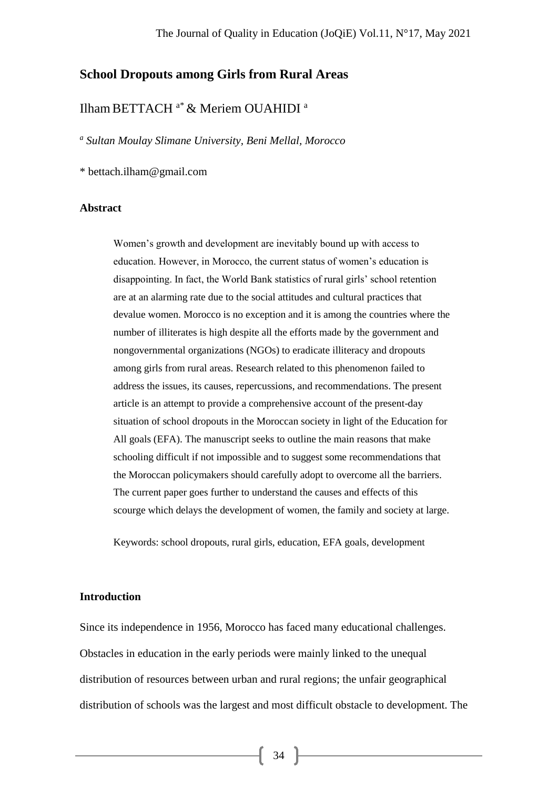## **School Dropouts among Girls from Rural Areas**

# Ilham BETTACH<sup>a\*</sup> & Meriem OUAHIDI<sup>a</sup>

*a Sultan Moulay Slimane University, Beni Mellal, Morocco*

\* bettach.ilham@gmail.com

#### **Abstract**

Women's growth and development are inevitably bound up with access to education. However, in Morocco, the current status of women's education is disappointing. In fact, the World Bank statistics of rural girls' school retention are at an alarming rate due to the social attitudes and cultural practices that devalue women. Morocco is no exception and it is among the countries where the number of illiterates is high despite all the efforts made by the government and nongovernmental organizations (NGOs) to eradicate illiteracy and dropouts among girls from rural areas. Research related to this phenomenon failed to address the issues, its causes, repercussions, and recommendations. The present article is an attempt to provide a comprehensive account of the present-day situation of school dropouts in the Moroccan society in light of the Education for All goals (EFA). The manuscript seeks to outline the main reasons that make schooling difficult if not impossible and to suggest some recommendations that the Moroccan policymakers should carefully adopt to overcome all the barriers. The current paper goes further to understand the causes and effects of this scourge which delays the development of women, the family and society at large.

Keywords: school dropouts, rural girls, education, EFA goals, development

### **Introduction**

Since its independence in 1956, Morocco has faced many educational challenges. Obstacles in education in the early periods were mainly linked to the unequal distribution of resources between urban and rural regions; the unfair geographical distribution of schools was the largest and most difficult obstacle to development. The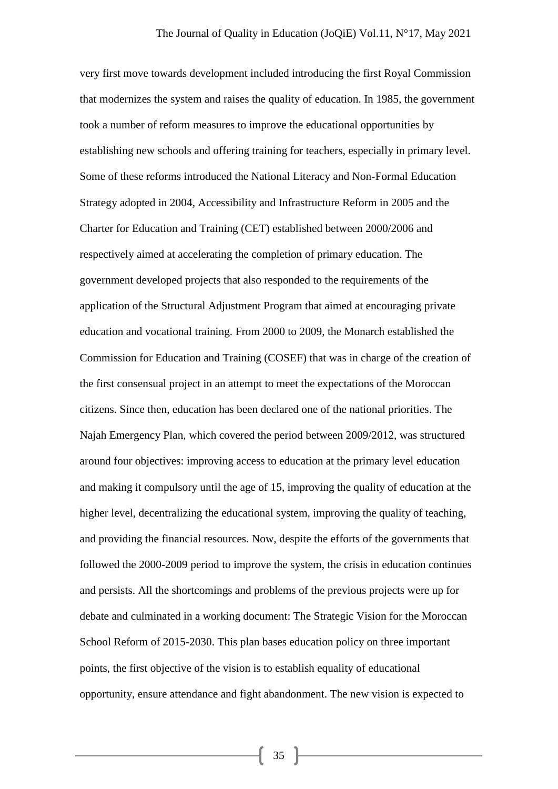very first move towards development included introducing the first Royal Commission that modernizes the system and raises the quality of education. In 1985, the government took a number of reform measures to improve the educational opportunities by establishing new schools and offering training for teachers, especially in primary level. Some of these reforms introduced the National Literacy and Non-Formal Education Strategy adopted in 2004, Accessibility and Infrastructure Reform in 2005 and the Charter for Education and Training (CET) established between 2000/2006 and respectively aimed at accelerating the completion of primary education. The government developed projects that also responded to the requirements of the application of the Structural Adjustment Program that aimed at encouraging private education and vocational training. From 2000 to 2009, the Monarch established the Commission for Education and Training (COSEF) that was in charge of the creation of the first consensual project in an attempt to meet the expectations of the Moroccan citizens. Since then, education has been declared one of the national priorities. The Najah Emergency Plan, which covered the period between 2009/2012, was structured around four objectives: improving access to education at the primary level education and making it compulsory until the age of 15, improving the quality of education at the higher level, decentralizing the educational system, improving the quality of teaching, and providing the financial resources. Now, despite the efforts of the governments that followed the 2000-2009 period to improve the system, the crisis in education continues and persists. All the shortcomings and problems of the previous projects were up for debate and culminated in a working document: The Strategic Vision for the Moroccan School Reform of 2015-2030. This plan bases education policy on three important points, the first objective of the vision is to establish equality of educational opportunity, ensure attendance and fight abandonment. The new vision is expected to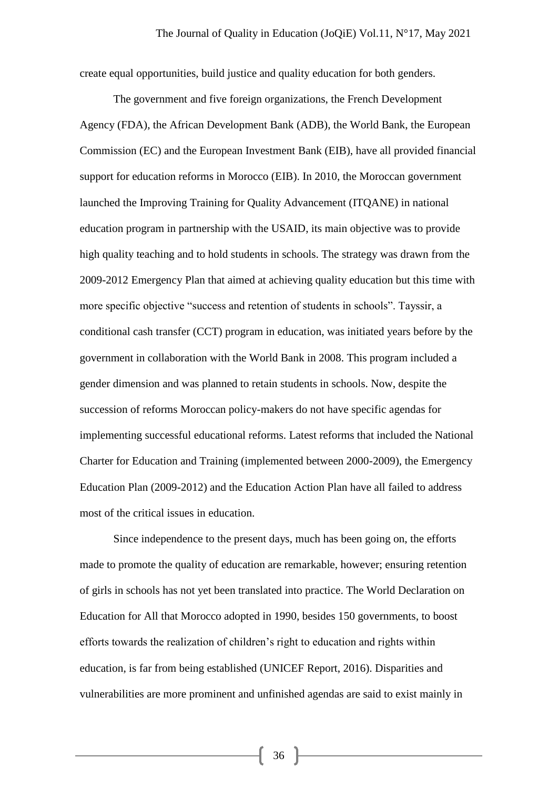create equal opportunities, build justice and quality education for both genders.

The government and five foreign organizations, the French Development Agency (FDA), the African Development Bank (ADB), the World Bank, the European Commission (EC) and the European Investment Bank (EIB), have all provided financial support for education reforms in Morocco (EIB). In 2010, the Moroccan government launched the Improving Training for Quality Advancement (ITQANE) in national education program in partnership with the USAID, its main objective was to provide high quality teaching and to hold students in schools. The strategy was drawn from the 2009-2012 Emergency Plan that aimed at achieving quality education but this time with more specific objective "success and retention of students in schools". Tayssir, a conditional cash transfer (CCT) program in education, was initiated years before by the government in collaboration with the World Bank in 2008. This program included a gender dimension and was planned to retain students in schools. Now, despite the succession of reforms Moroccan policy-makers do not have specific agendas for implementing successful educational reforms. Latest reforms that included the National Charter for Education and Training (implemented between 2000-2009), the Emergency Education Plan (2009-2012) and the Education Action Plan have all failed to address most of the critical issues in education.

Since independence to the present days, much has been going on, the efforts made to promote the quality of education are remarkable, however; ensuring retention of girls in schools has not yet been translated into practice. The World Declaration on Education for All that Morocco adopted in 1990, besides 150 governments, to boost efforts towards the realization of children's right to education and rights within education, is far from being established (UNICEF Report, 2016). Disparities and vulnerabilities are more prominent and unfinished agendas are said to exist mainly in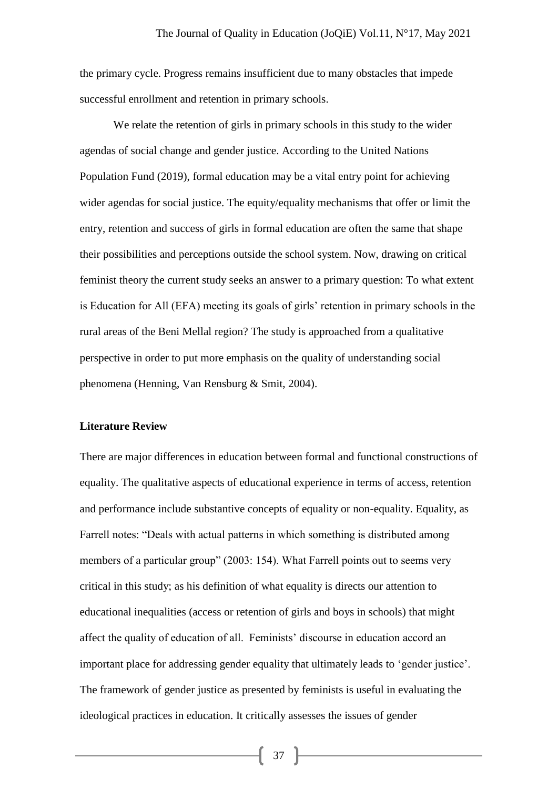the primary cycle. Progress remains insufficient due to many obstacles that impede successful enrollment and retention in primary schools.

We relate the retention of girls in primary schools in this study to the wider agendas of social change and gender justice. According to the United Nations Population Fund (2019), formal education may be a vital entry point for achieving wider agendas for social justice. The equity/equality mechanisms that offer or limit the entry, retention and success of girls in formal education are often the same that shape their possibilities and perceptions outside the school system. Now, drawing on critical feminist theory the current study seeks an answer to a primary question: To what extent is Education for All (EFA) meeting its goals of girls' retention in primary schools in the rural areas of the Beni Mellal region? The study is approached from a qualitative perspective in order to put more emphasis on the quality of understanding social phenomena (Henning, Van Rensburg & Smit, 2004).

### **Literature Review**

There are major differences in education between formal and functional constructions of equality. The qualitative aspects of educational experience in terms of access, retention and performance include substantive concepts of equality or non-equality. Equality, as Farrell notes: "Deals with actual patterns in which something is distributed among members of a particular group" (2003: 154). What Farrell points out to seems very critical in this study; as his definition of what equality is directs our attention to educational inequalities (access or retention of girls and boys in schools) that might affect the quality of education of all. Feminists' discourse in education accord an important place for addressing gender equality that ultimately leads to 'gender justice'. The framework of gender justice as presented by feminists is useful in evaluating the ideological practices in education. It critically assesses the issues of gender

 $37 \mid$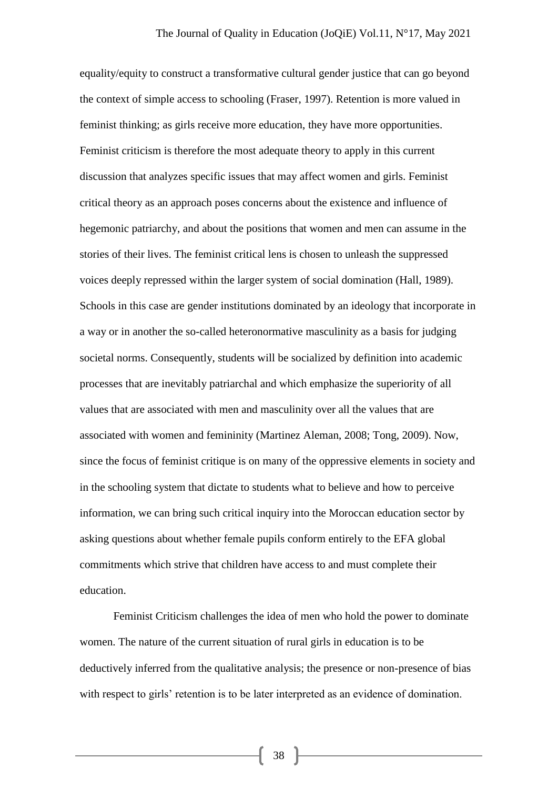equality/equity to construct a transformative cultural gender justice that can go beyond the context of simple access to schooling (Fraser, 1997). Retention is more valued in feminist thinking; as girls receive more education, they have more opportunities. Feminist criticism is therefore the most adequate theory to apply in this current discussion that analyzes specific issues that may affect women and girls. Feminist critical theory as an approach poses concerns about the existence and influence of hegemonic patriarchy, and about the positions that women and men can assume in the stories of their lives. The feminist critical lens is chosen to unleash the suppressed voices deeply repressed within the larger system of social domination (Hall, 1989). Schools in this case are gender institutions dominated by an ideology that incorporate in a way or in another the so-called heteronormative masculinity as a basis for judging societal norms. Consequently, students will be socialized by definition into academic processes that are inevitably patriarchal and which emphasize the superiority of all values that are associated with men and masculinity over all the values that are associated with women and femininity (Martinez Aleman, 2008; Tong, 2009). Now, since the focus of feminist critique is on many of the oppressive elements in society and in the schooling system that dictate to students what to believe and how to perceive information, we can bring such critical inquiry into the Moroccan education sector by asking questions about whether female pupils conform entirely to the EFA global commitments which strive that children have access to and must complete their education.

Feminist Criticism challenges the idea of men who hold the power to dominate women. The nature of the current situation of rural girls in education is to be deductively inferred from the qualitative analysis; the presence or non-presence of bias with respect to girls' retention is to be later interpreted as an evidence of domination.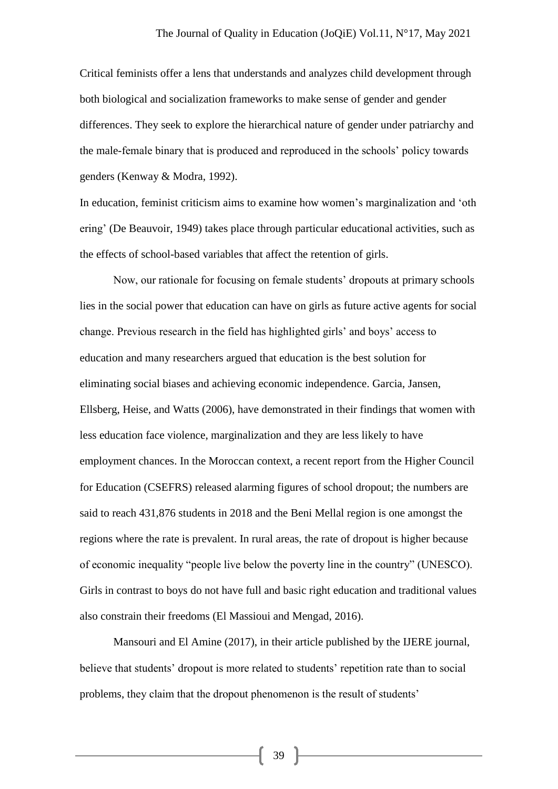Critical feminists offer a lens that understands and analyzes child development through both biological and socialization frameworks to make sense of gender and gender differences. They seek to explore the hierarchical nature of gender under patriarchy and the male-female binary that is produced and reproduced in the schools' policy towards genders (Kenway & Modra, 1992).

In education, feminist criticism aims to examine how women's marginalization and 'oth ering' (De Beauvoir, 1949) takes place through particular educational activities, such as the effects of school-based variables that affect the retention of girls.

Now, our rationale for focusing on female students' dropouts at primary schools lies in the social power that education can have on girls as future active agents for social change. Previous research in the field has highlighted girls' and boys' access to education and many researchers argued that education is the best solution for eliminating social biases and achieving economic independence. Garcia, Jansen, Ellsberg, Heise, and Watts (2006), have demonstrated in their findings that women with less education face violence, marginalization and they are less likely to have employment chances. In the Moroccan context, a recent report from the Higher Council for Education (CSEFRS) released alarming figures of school dropout; the numbers are said to reach 431,876 students in 2018 and the Beni Mellal region is one amongst the regions where the rate is prevalent. In rural areas, the rate of dropout is higher because of economic inequality "people live below the poverty line in the country" (UNESCO). Girls in contrast to boys do not have full and basic right education and traditional values also constrain their freedoms (El Massioui and Mengad, 2016).

Mansouri and El Amine (2017), in their article published by the IJERE journal, believe that students' dropout is more related to students' repetition rate than to social problems, they claim that the dropout phenomenon is the result of students'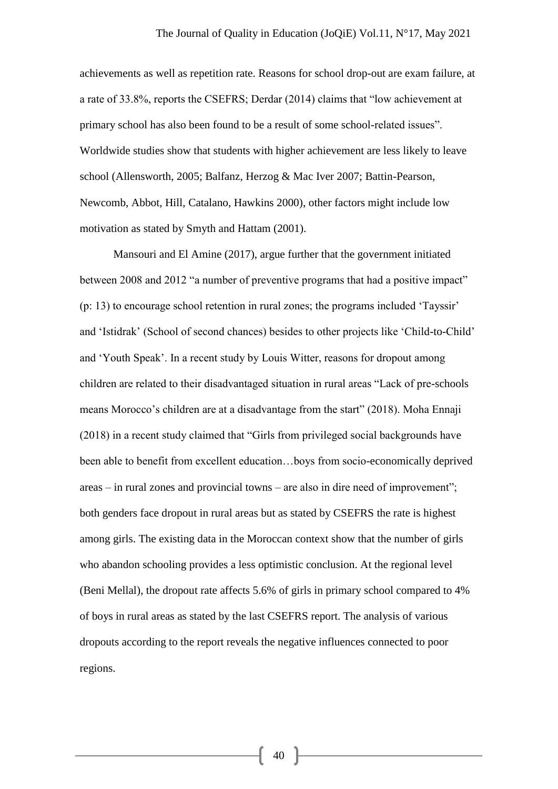achievements as well as repetition rate. Reasons for school drop-out are exam failure, at a rate of 33.8%, reports the CSEFRS; Derdar (2014) claims that "low achievement at primary school has also been found to be a result of some school-related issues". Worldwide studies show that students with higher achievement are less likely to leave school (Allensworth, 2005; Balfanz, Herzog & Mac Iver 2007; Battin-Pearson, Newcomb, Abbot, Hill, Catalano, Hawkins 2000), other factors might include low motivation as stated by Smyth and Hattam (2001).

Mansouri and El Amine (2017), argue further that the government initiated between 2008 and 2012 "a number of preventive programs that had a positive impact" (p: 13) to encourage school retention in rural zones; the programs included 'Tayssir' and 'Istidrak' (School of second chances) besides to other projects like 'Child-to-Child' and 'Youth Speak'. In a recent study by Louis Witter, reasons for dropout among children are related to their disadvantaged situation in rural areas "Lack of pre-schools means Morocco's children are at a disadvantage from the start" (2018). Moha Ennaji (2018) in a recent study claimed that "Girls from privileged social backgrounds have been able to benefit from excellent education…boys from socio-economically deprived areas – in rural zones and provincial towns – are also in dire need of improvement"; both genders face dropout in rural areas but as stated by CSEFRS the rate is highest among girls. The existing data in the Moroccan context show that the number of girls who abandon schooling provides a less optimistic conclusion. At the regional level (Beni Mellal), the dropout rate affects 5.6% of girls in primary school compared to 4% of boys in rural areas as stated by the last CSEFRS report. The analysis of various dropouts according to the report reveals the negative influences connected to poor regions.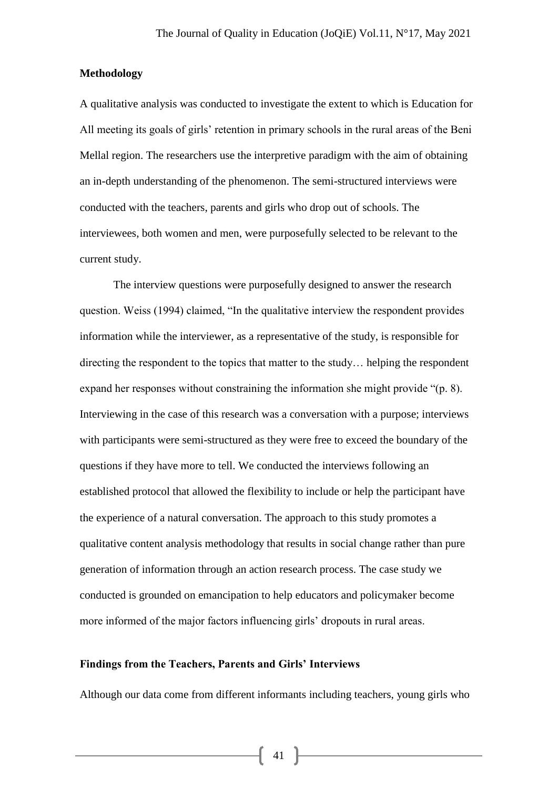### **Methodology**

A qualitative analysis was conducted to investigate the extent to which is Education for All meeting its goals of girls' retention in primary schools in the rural areas of the Beni Mellal region. The researchers use the interpretive paradigm with the aim of obtaining an in-depth understanding of the phenomenon. The semi-structured interviews were conducted with the teachers, parents and girls who drop out of schools. The interviewees, both women and men, were purposefully selected to be relevant to the current study.

The interview questions were purposefully designed to answer the research question. Weiss (1994) claimed, "In the qualitative interview the respondent provides information while the interviewer, as a representative of the study, is responsible for directing the respondent to the topics that matter to the study… helping the respondent expand her responses without constraining the information she might provide "(p. 8). Interviewing in the case of this research was a conversation with a purpose; interviews with participants were semi-structured as they were free to exceed the boundary of the questions if they have more to tell. We conducted the interviews following an established protocol that allowed the flexibility to include or help the participant have the experience of a natural conversation. The approach to this study promotes a qualitative content analysis methodology that results in social change rather than pure generation of information through an action research process. The case study we conducted is grounded on emancipation to help educators and policymaker become more informed of the major factors influencing girls' dropouts in rural areas.

### **Findings from the Teachers, Parents and Girls' Interviews**

Although our data come from different informants including teachers, young girls who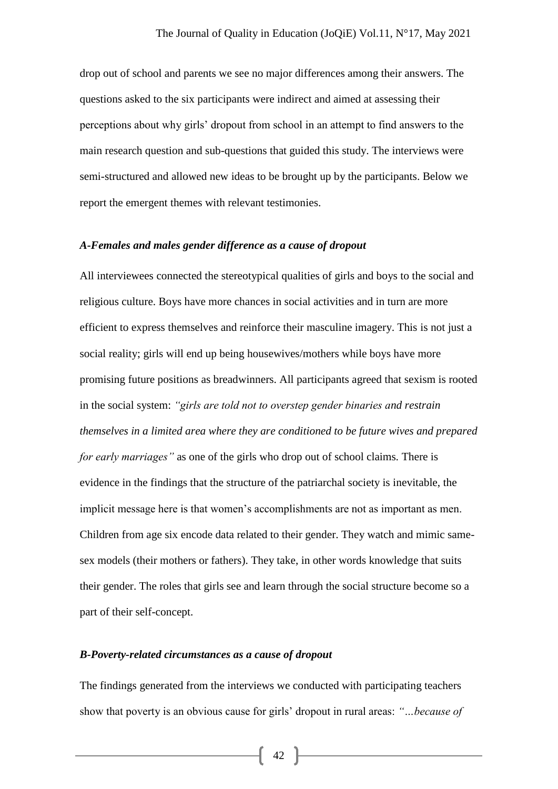drop out of school and parents we see no major differences among their answers. The questions asked to the six participants were indirect and aimed at assessing their perceptions about why girls' dropout from school in an attempt to find answers to the main research question and sub-questions that guided this study. The interviews were semi-structured and allowed new ideas to be brought up by the participants. Below we report the emergent themes with relevant testimonies.

### *A-Females and males gender difference as a cause of dropout*

All interviewees connected the stereotypical qualities of girls and boys to the social and religious culture. Boys have more chances in social activities and in turn are more efficient to express themselves and reinforce their masculine imagery. This is not just a social reality; girls will end up being housewives/mothers while boys have more promising future positions as breadwinners. All participants agreed that sexism is rooted in the social system: *"girls are told not to overstep gender binaries and restrain themselves in a limited area where they are conditioned to be future wives and prepared for early marriages"* as one of the girls who drop out of school claims*.* There is evidence in the findings that the structure of the patriarchal society is inevitable, the implicit message here is that women's accomplishments are not as important as men. Children from age six encode data related to their gender. They watch and mimic samesex models (their mothers or fathers). They take, in other words knowledge that suits their gender. The roles that girls see and learn through the social structure become so a part of their self-concept.

### *B-Poverty-related circumstances as a cause of dropout*

The findings generated from the interviews we conducted with participating teachers show that poverty is an obvious cause for girls' dropout in rural areas: *"…because of*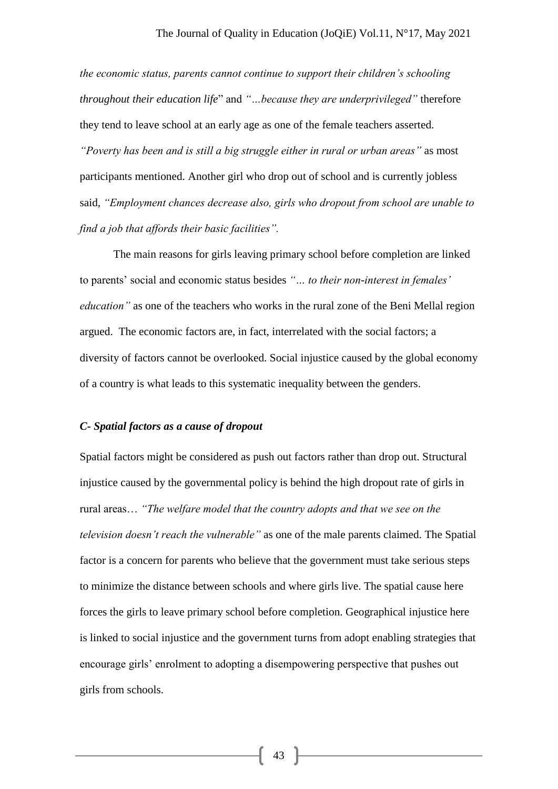*the economic status, parents cannot continue to support their children's schooling throughout their education life*" and *"…because they are underprivileged"* therefore they tend to leave school at an early age as one of the female teachers asserted. *"Poverty has been and is still a big struggle either in rural or urban areas"* as most participants mentioned. Another girl who drop out of school and is currently jobless said, *"Employment chances decrease also, girls who dropout from school are unable to find a job that affords their basic facilities".* 

The main reasons for girls leaving primary school before completion are linked to parents' social and economic status besides *"… to their non-interest in females' education"* as one of the teachers who works in the rural zone of the Beni Mellal region argued. The economic factors are, in fact, interrelated with the social factors; a diversity of factors cannot be overlooked. Social injustice caused by the global economy of a country is what leads to this systematic inequality between the genders.

### *C- Spatial factors as a cause of dropout*

Spatial factors might be considered as push out factors rather than drop out. Structural injustice caused by the governmental policy is behind the high dropout rate of girls in rural areas… *"The welfare model that the country adopts and that we see on the television doesn't reach the vulnerable"* as one of the male parents claimed. The Spatial factor is a concern for parents who believe that the government must take serious steps to minimize the distance between schools and where girls live. The spatial cause here forces the girls to leave primary school before completion. Geographical injustice here is linked to social injustice and the government turns from adopt enabling strategies that encourage girls' enrolment to adopting a disempowering perspective that pushes out girls from schools.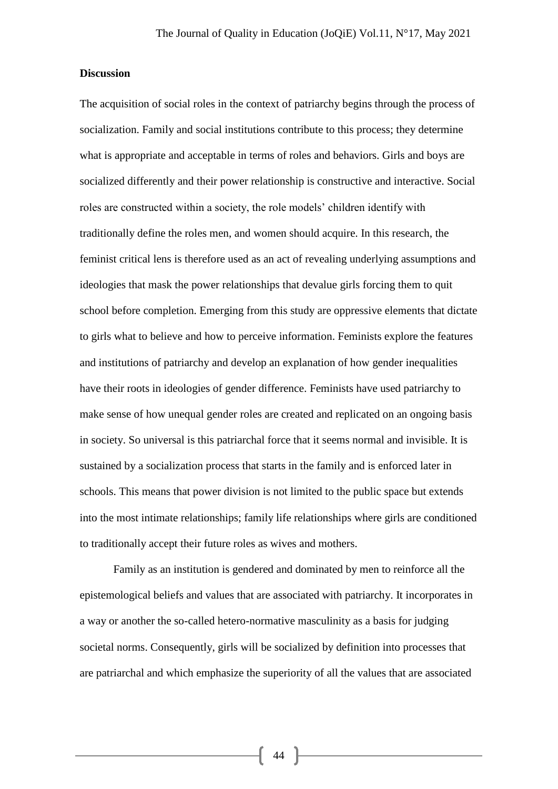### **Discussion**

The acquisition of social roles in the context of patriarchy begins through the process of socialization. Family and social institutions contribute to this process; they determine what is appropriate and acceptable in terms of roles and behaviors. Girls and boys are socialized differently and their power relationship is constructive and interactive. Social roles are constructed within a society, the role models' children identify with traditionally define the roles men, and women should acquire. In this research, the feminist critical lens is therefore used as an act of revealing underlying assumptions and ideologies that mask the power relationships that devalue girls forcing them to quit school before completion. Emerging from this study are oppressive elements that dictate to girls what to believe and how to perceive information. Feminists explore the features and institutions of patriarchy and develop an explanation of how gender inequalities have their roots in ideologies of gender difference. Feminists have used patriarchy to make sense of how unequal gender roles are created and replicated on an ongoing basis in society. So universal is this patriarchal force that it seems normal and invisible. It is sustained by a socialization process that starts in the family and is enforced later in schools. This means that power division is not limited to the public space but extends into the most intimate relationships; family life relationships where girls are conditioned to traditionally accept their future roles as wives and mothers.

Family as an institution is gendered and dominated by men to reinforce all the epistemological beliefs and values that are associated with patriarchy. It incorporates in a way or another the so-called hetero-normative masculinity as a basis for judging societal norms. Consequently, girls will be socialized by definition into processes that are patriarchal and which emphasize the superiority of all the values that are associated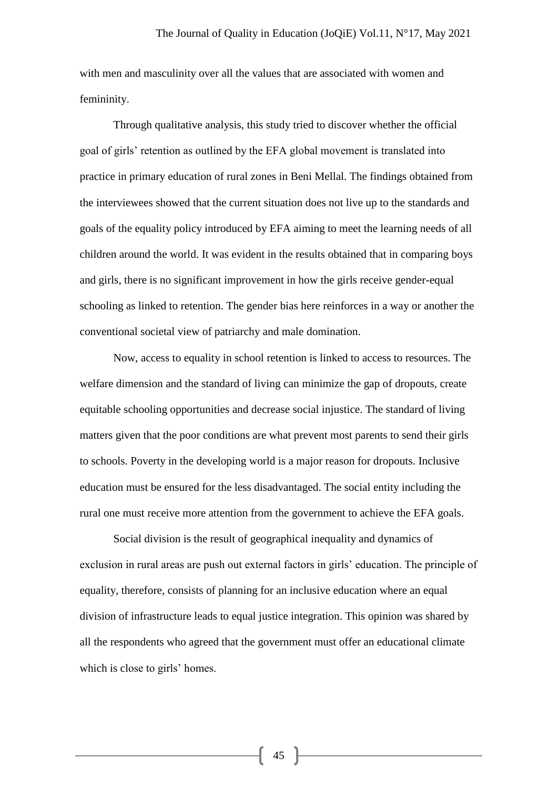with men and masculinity over all the values that are associated with women and femininity.

Through qualitative analysis, this study tried to discover whether the official goal of girls' retention as outlined by the EFA global movement is translated into practice in primary education of rural zones in Beni Mellal. The findings obtained from the interviewees showed that the current situation does not live up to the standards and goals of the equality policy introduced by EFA aiming to meet the learning needs of all children around the world. It was evident in the results obtained that in comparing boys and girls, there is no significant improvement in how the girls receive gender-equal schooling as linked to retention. The gender bias here reinforces in a way or another the conventional societal view of patriarchy and male domination.

Now, access to equality in school retention is linked to access to resources. The welfare dimension and the standard of living can minimize the gap of dropouts, create equitable schooling opportunities and decrease social injustice. The standard of living matters given that the poor conditions are what prevent most parents to send their girls to schools. Poverty in the developing world is a major reason for dropouts. Inclusive education must be ensured for the less disadvantaged. The social entity including the rural one must receive more attention from the government to achieve the EFA goals.

Social division is the result of geographical inequality and dynamics of exclusion in rural areas are push out external factors in girls' education. The principle of equality, therefore, consists of planning for an inclusive education where an equal division of infrastructure leads to equal justice integration. This opinion was shared by all the respondents who agreed that the government must offer an educational climate which is close to girls' homes.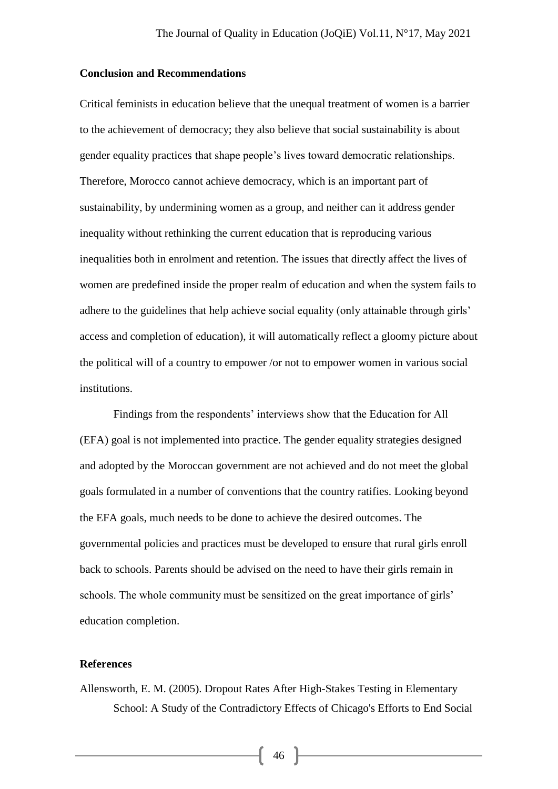### **Conclusion and Recommendations**

Critical feminists in education believe that the unequal treatment of women is a barrier to the achievement of democracy; they also believe that social sustainability is about gender equality practices that shape people's lives toward democratic relationships. Therefore, Morocco cannot achieve democracy, which is an important part of sustainability, by undermining women as a group, and neither can it address gender inequality without rethinking the current education that is reproducing various inequalities both in enrolment and retention. The issues that directly affect the lives of women are predefined inside the proper realm of education and when the system fails to adhere to the guidelines that help achieve social equality (only attainable through girls' access and completion of education), it will automatically reflect a gloomy picture about the political will of a country to empower /or not to empower women in various social institutions.

Findings from the respondents' interviews show that the Education for All (EFA) goal is not implemented into practice. The gender equality strategies designed and adopted by the Moroccan government are not achieved and do not meet the global goals formulated in a number of conventions that the country ratifies. Looking beyond the EFA goals, much needs to be done to achieve the desired outcomes. The governmental policies and practices must be developed to ensure that rural girls enroll back to schools. Parents should be advised on the need to have their girls remain in schools. The whole community must be sensitized on the great importance of girls' education completion.

## **References**

Allensworth, E. M. (2005). Dropout Rates After High-Stakes Testing in Elementary School: A Study of the Contradictory Effects of Chicago's Efforts to End Social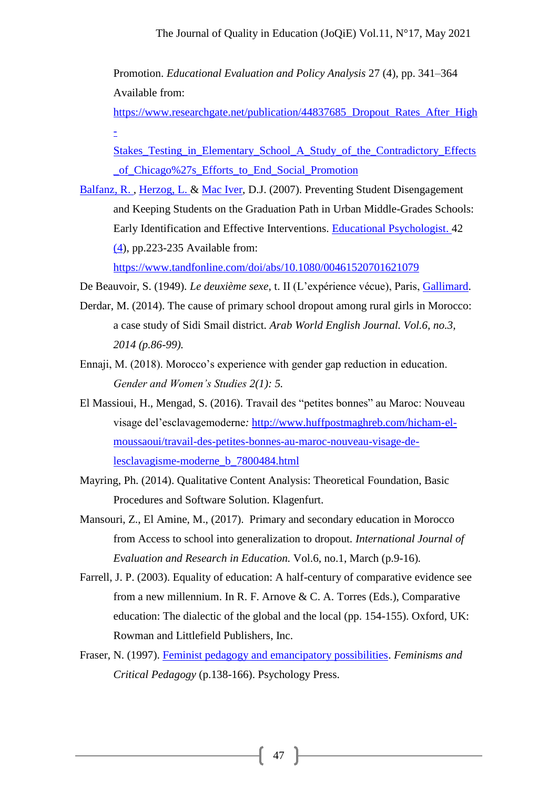Promotion. *Educational Evaluation and Policy Analysis* 27 (4), pp. 341–364 Available from:

[https://www.researchgate.net/publication/44837685\\_Dropout\\_Rates\\_After\\_High](https://www.researchgate.net/publication/44837685_Dropout_Rates_After_High-Stakes_Testing_in_Elementary_School_A_Study_of_the_Contradictory_Effects_of_Chicago%27s_Efforts_to_End_Social_Promotion)  $\pm$ 

[Stakes\\_Testing\\_in\\_Elementary\\_School\\_A\\_Study\\_of\\_the\\_Contradictory\\_Effects](https://www.researchgate.net/publication/44837685_Dropout_Rates_After_High-Stakes_Testing_in_Elementary_School_A_Study_of_the_Contradictory_Effects_of_Chicago%27s_Efforts_to_End_Social_Promotion) [\\_of\\_Chicago%27s\\_Efforts\\_to\\_End\\_Social\\_Promotion](https://www.researchgate.net/publication/44837685_Dropout_Rates_After_High-Stakes_Testing_in_Elementary_School_A_Study_of_the_Contradictory_Effects_of_Chicago%27s_Efforts_to_End_Social_Promotion)

[Balfanz, R. ,](https://www.tandfonline.com/author/BALFANZ%2C+ROBERT) [Herzog, L. &](https://www.tandfonline.com/author/HERZOG%2C+LIZA) [Mac Iver,](https://www.tandfonline.com/author/mAC+IVER%2C+DOUGLAS+J) D.J. (2007). Preventing Student Disengagement and Keeping Students on the Graduation Path in Urban Middle-Grades Schools: Early Identification and Effective Interventions. [Educational Psychologist. 4](https://www.tandfonline.com/toc/hedp20/current)[2](https://www.tandfonline.com/toc/hedp20/42/4) [\(4\)](https://www.tandfonline.com/toc/hedp20/42/4), pp.223-235 Available from:

<https://www.tandfonline.com/doi/abs/10.1080/00461520701621079>

De Beauvoir, S. (1949). *Le deuxième sexe*, t. II (L'expérience vécue), Paris, [Gallimard.](https://fr.wikipedia.org/wiki/Gallimard)

- Derdar, M. (2014). The cause of primary school dropout among rural girls in Morocco: a case study of Sidi Smail district*. Arab World English Journal. Vol.6, no.3, 2014 (p.86-99).*
- Ennaji, M. (2018). Morocco's experience with gender gap reduction in education. *Gender and Women's Studies 2(1): 5.*
- El Massioui, H., Mengad, S. (2016). Travail des "petites bonnes" au Maroc: Nouveau visage del'esclavagemoderne*:* [http://www.huffpostmaghreb.com/hicham-el](http://www.huffpostmaghreb.com/hicham-el-moussaoui/travail-des-petites-bonnes-au-maroc-nouveau-visage-de-lesclavagisme-moderne_b_7800484.html)[moussaoui/travail-des-petites-bonnes-au-maroc-nouveau-visage-de](http://www.huffpostmaghreb.com/hicham-el-moussaoui/travail-des-petites-bonnes-au-maroc-nouveau-visage-de-lesclavagisme-moderne_b_7800484.html)[lesclavagisme-moderne\\_b\\_7800484.html](http://www.huffpostmaghreb.com/hicham-el-moussaoui/travail-des-petites-bonnes-au-maroc-nouveau-visage-de-lesclavagisme-moderne_b_7800484.html)
- Mayring, Ph. (2014). Qualitative Content Analysis: Theoretical Foundation, Basic Procedures and Software Solution. Klagenfurt.
- Mansouri, Z., El Amine, M., (2017).Primary and secondary education in Morocco from Access to school into generalization to dropout*. International Journal of Evaluation and Research in Education.* Vol.6, no.1, March (p.9-16)*.*
- Farrell, J. P. (2003). Equality of education: A half-century of comparative evidence see from a new millennium. In R. F. Arnove & C. A. Torres (Eds.), Comparative education: The dialectic of the global and the local (pp. 154-155). Oxford, UK: Rowman and Littlefield Publishers, Inc.
- Fraser, N. (1997). [Feminist pedagogy and emancipatory possibilities.](javascript:void(0)) *Feminisms and Critical Pedagogy* (p.138-166). Psychology Press.